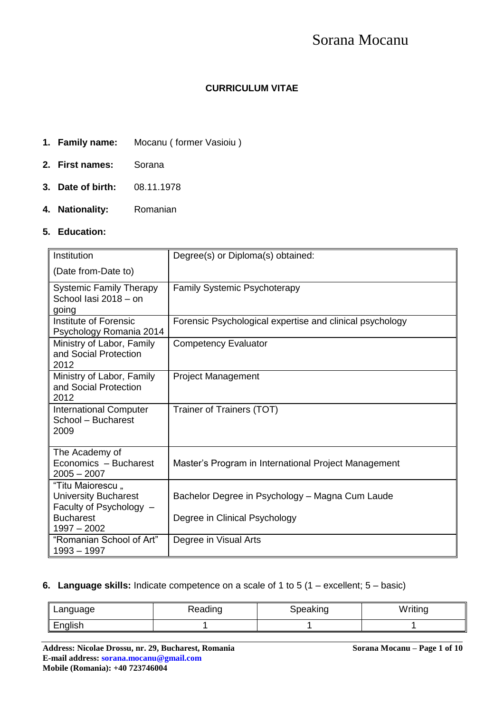# Sorana Mocanu

## **CURRICULUM VITAE**

- **1. Family name:** Mocanu ( former Vasioiu )
- **2. First names:** Sorana
- **3. Date of birth:** 08.11.1978
- **4. Nationality:** Romanian

## **5. Education:**

| Institution                                                                | Degree(s) or Diploma(s) obtained:                        |
|----------------------------------------------------------------------------|----------------------------------------------------------|
| (Date from-Date to)                                                        |                                                          |
| <b>Systemic Family Therapy</b><br>School lasi 2018 - on<br>going           | <b>Family Systemic Psychoterapy</b>                      |
| Institute of Forensic<br>Psychology Romania 2014                           | Forensic Psychological expertise and clinical psychology |
| Ministry of Labor, Family<br>and Social Protection<br>2012                 | <b>Competency Evaluator</b>                              |
| Ministry of Labor, Family<br>and Social Protection<br>2012                 | <b>Project Management</b>                                |
| <b>International Computer</b><br>School - Bucharest<br>2009                | Trainer of Trainers (TOT)                                |
| The Academy of<br>Economics - Bucharest<br>$2005 - 2007$                   | Master's Program in International Project Management     |
| "Titu Maiorescu,<br><b>University Bucharest</b><br>Faculty of Psychology - | Bachelor Degree in Psychology - Magna Cum Laude          |
| <b>Bucharest</b><br>$1997 - 2002$                                          | Degree in Clinical Psychology                            |
| "Romanian School of Art"<br>$1993 - 1997$                                  | Degree in Visual Arts                                    |

#### **6. Language skills:** Indicate competence on a scale of 1 to 5 (1 – excellent; 5 – basic)

| Language | Reading | Speaking | Writing |
|----------|---------|----------|---------|
| English  |         |          |         |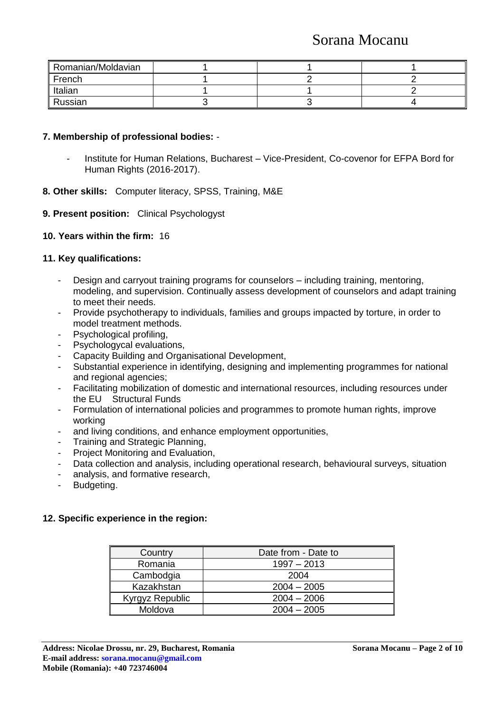## Sorana Mocanu

| Romanian/Moldavian |  |  |
|--------------------|--|--|
| French             |  |  |
| Italian            |  |  |
| Russian            |  |  |

#### **7. Membership of professional bodies:** -

- Institute for Human Relations, Bucharest Vice-President, Co-covenor for EFPA Bord for Human Rights (2016-2017).
- **8. Other skills:** Computer literacy, SPSS, Training, M&E

#### **9. Present position:** Clinical Psychologyst

#### **10. Years within the firm:** 16

## **11. Key qualifications:**

- Design and carryout training programs for counselors including training, mentoring, modeling, and supervision. Continually assess development of counselors and adapt training to meet their needs.
- Provide psychotherapy to individuals, families and groups impacted by torture, in order to model treatment methods.
- Psychological profiling,
- Psychologycal evaluations,
- Capacity Building and Organisational Development,
- Substantial experience in identifying, designing and implementing programmes for national and regional agencies;
- Facilitating mobilization of domestic and international resources, including resources under the EU Structural Funds
- Formulation of international policies and programmes to promote human rights, improve working
- and living conditions, and enhance employment opportunities,
- Training and Strategic Planning.
- Project Monitoring and Evaluation,
- Data collection and analysis, including operational research, behavioural surveys, situation
- analysis, and formative research,
- Budgeting.

#### **12. Specific experience in the region:**

| Country         | Date from - Date to |
|-----------------|---------------------|
| Romania         | $1997 - 2013$       |
| Cambodgia       | 2004                |
| Kazakhstan      | $2004 - 2005$       |
| Kyrgyz Republic | $2004 - 2006$       |
| Moldova         | $2004 - 2005$       |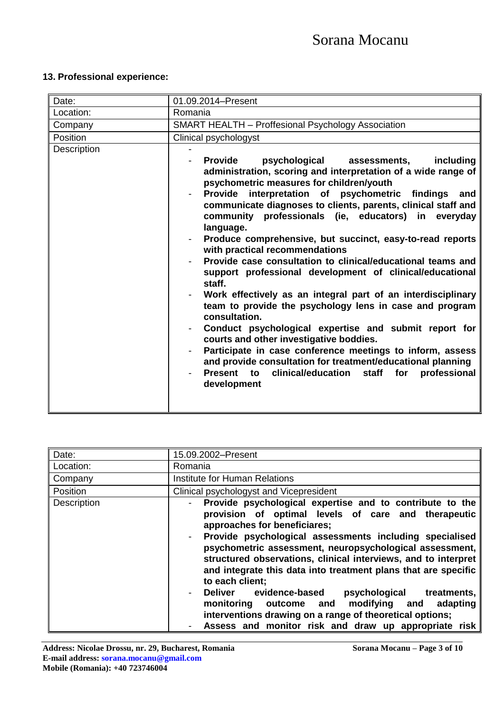## **13. Professional experience:**

| Date:       | 01.09.2014-Present                                                                                                                                                                                                                                                                                                                                                                                                                                                                                                                                                                                                                                                                                                                                                                                                                                                                                                                                                                                                                                                    |
|-------------|-----------------------------------------------------------------------------------------------------------------------------------------------------------------------------------------------------------------------------------------------------------------------------------------------------------------------------------------------------------------------------------------------------------------------------------------------------------------------------------------------------------------------------------------------------------------------------------------------------------------------------------------------------------------------------------------------------------------------------------------------------------------------------------------------------------------------------------------------------------------------------------------------------------------------------------------------------------------------------------------------------------------------------------------------------------------------|
| Location:   | Romania                                                                                                                                                                                                                                                                                                                                                                                                                                                                                                                                                                                                                                                                                                                                                                                                                                                                                                                                                                                                                                                               |
| Company     | <b>SMART HEALTH - Proffesional Psychology Association</b>                                                                                                                                                                                                                                                                                                                                                                                                                                                                                                                                                                                                                                                                                                                                                                                                                                                                                                                                                                                                             |
| Position    | Clinical psychologyst                                                                                                                                                                                                                                                                                                                                                                                                                                                                                                                                                                                                                                                                                                                                                                                                                                                                                                                                                                                                                                                 |
| Description | <b>Provide</b><br>including<br>psychological<br>assessments,<br>administration, scoring and interpretation of a wide range of<br>psychometric measures for children/youth<br>Provide interpretation of psychometric findings<br>and<br>communicate diagnoses to clients, parents, clinical staff and<br>community professionals (ie, educators) in everyday<br>language.<br>Produce comprehensive, but succinct, easy-to-read reports<br>with practical recommendations<br>Provide case consultation to clinical/educational teams and<br>support professional development of clinical/educational<br>staff.<br>Work effectively as an integral part of an interdisciplinary<br>team to provide the psychology lens in case and program<br>consultation.<br>Conduct psychological expertise and submit report for<br>courts and other investigative boddies.<br>Participate in case conference meetings to inform, assess<br>and provide consultation for treatment/educational planning<br>Present to clinical/education staff<br>for<br>professional<br>development |

| Date:       | 15.09.2002-Present                                                                                                                                                                                                                                                                                                                                                                                                                                                                                                                                                                                                                                                                         |
|-------------|--------------------------------------------------------------------------------------------------------------------------------------------------------------------------------------------------------------------------------------------------------------------------------------------------------------------------------------------------------------------------------------------------------------------------------------------------------------------------------------------------------------------------------------------------------------------------------------------------------------------------------------------------------------------------------------------|
| Location:   | Romania                                                                                                                                                                                                                                                                                                                                                                                                                                                                                                                                                                                                                                                                                    |
| Company     | Institute for Human Relations                                                                                                                                                                                                                                                                                                                                                                                                                                                                                                                                                                                                                                                              |
| Position    | Clinical psychologyst and Vicepresident                                                                                                                                                                                                                                                                                                                                                                                                                                                                                                                                                                                                                                                    |
| Description | Provide psychological expertise and to contribute to the<br>provision of optimal levels of care and therapeutic<br>approaches for beneficiares;<br>Provide psychological assessments including specialised<br>$\overline{\phantom{a}}$<br>psychometric assessment, neuropsychological assessment,<br>structured observations, clinical interviews, and to interpret<br>and integrate this data into treatment plans that are specific<br>to each client;<br>Deliver evidence-based<br>psychological treatments,<br>modifying and<br>monitoring outcome and<br>adapting<br>interventions drawing on a range of theoretical options;<br>Assess and monitor risk and draw up appropriate risk |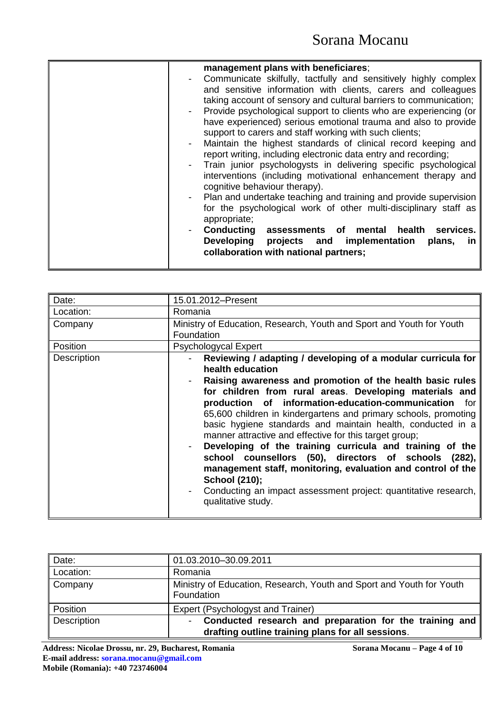| management plans with beneficiares;                                                           |
|-----------------------------------------------------------------------------------------------|
| Communicate skilfully, tactfully and sensitively highly complex<br>$\overline{\phantom{a}}$   |
| and sensitive information with clients, carers and colleagues                                 |
| taking account of sensory and cultural barriers to communication;                             |
| Provide psychological support to clients who are experiencing (or<br>$\overline{\phantom{0}}$ |
| have experienced) serious emotional trauma and also to provide                                |
| support to carers and staff working with such clients;                                        |
| Maintain the highest standards of clinical record keeping and                                 |
| report writing, including electronic data entry and recording;                                |
| Train junior psychologysts in delivering specific psychological                               |
| interventions (including motivational enhancement therapy and                                 |
| cognitive behaviour therapy).                                                                 |
| Plan and undertake teaching and training and provide supervision                              |
| for the psychological work of other multi-disciplinary staff as                               |
| appropriate;                                                                                  |
| <b>Conducting</b><br>assessments of mental health<br>services.                                |
|                                                                                               |
| Developing projects and implementation<br>plans,<br>ın                                        |
| collaboration with national partners;                                                         |
|                                                                                               |

| Date:       | 15.01.2012-Present                                                                                                                                                                                                                                                                                                                                                                                                                                                                                                                                                                                                                                                                                                                                                |
|-------------|-------------------------------------------------------------------------------------------------------------------------------------------------------------------------------------------------------------------------------------------------------------------------------------------------------------------------------------------------------------------------------------------------------------------------------------------------------------------------------------------------------------------------------------------------------------------------------------------------------------------------------------------------------------------------------------------------------------------------------------------------------------------|
| Location:   | Romania                                                                                                                                                                                                                                                                                                                                                                                                                                                                                                                                                                                                                                                                                                                                                           |
| Company     | Ministry of Education, Research, Youth and Sport and Youth for Youth<br>Foundation                                                                                                                                                                                                                                                                                                                                                                                                                                                                                                                                                                                                                                                                                |
| Position    | Psychologycal Expert                                                                                                                                                                                                                                                                                                                                                                                                                                                                                                                                                                                                                                                                                                                                              |
| Description | Reviewing / adapting / developing of a modular curricula for<br>health education<br>Raising awareness and promotion of the health basic rules<br>for children from rural areas. Developing materials and<br>production of information-education-communication for<br>65,600 children in kindergartens and primary schools, promoting<br>basic hygiene standards and maintain health, conducted in a<br>manner attractive and effective for this target group;<br>Developing of the training curricula and training of the<br>school counsellors (50), directors of schools (282),<br>management staff, monitoring, evaluation and control of the<br><b>School (210);</b><br>Conducting an impact assessment project: quantitative research,<br>qualitative study. |

| Date:       | 01.03.2010-30.09.2011                                                                                        |
|-------------|--------------------------------------------------------------------------------------------------------------|
| Location:   | Romania                                                                                                      |
| Company     | Ministry of Education, Research, Youth and Sport and Youth for Youth<br>Foundation                           |
| Position    | Expert (Psychologyst and Trainer)                                                                            |
| Description | Conducted research and preparation for the training and<br>drafting outline training plans for all sessions. |

**Address: Nicolae Drossu, nr. 29, Bucharest, Romania Sorana Mocanu – Page 4 of 10 E-mail address: sorana.mocanu@gmail.com Mobile (Romania): +40 723746004**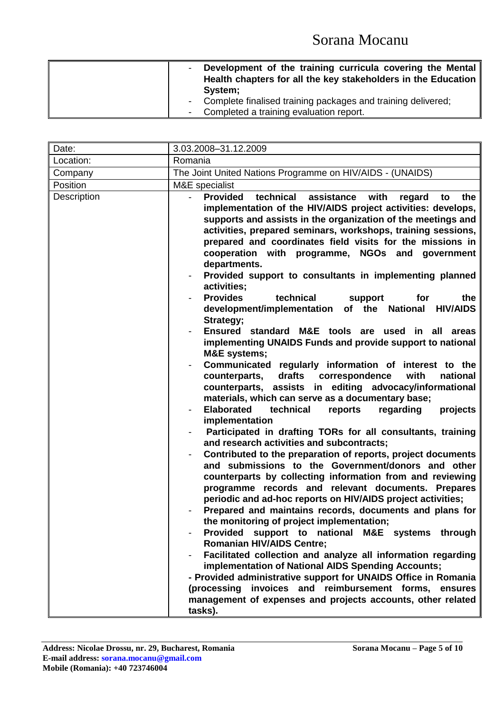|  | Development of the training curricula covering the Mental<br>Health chapters for all the key stakeholders in the Education |
|--|----------------------------------------------------------------------------------------------------------------------------|
|  | System;                                                                                                                    |
|  | Complete finalised training packages and training delivered;                                                               |
|  | Completed a training evaluation report.                                                                                    |

| Date:       | 3.03.2008-31.12.2009                                                                                                                                                                                                                                                                                                                                                                                                                                                                                                                                                                                                                                                                                                                                                                                                                                                                                                                                                                                                                                                                                                                                                                                                                                                                                                                                                                                                                                                                                                                                                                                                                                                                                                                                                                                                                                                                                                                                                                                                                            |  |
|-------------|-------------------------------------------------------------------------------------------------------------------------------------------------------------------------------------------------------------------------------------------------------------------------------------------------------------------------------------------------------------------------------------------------------------------------------------------------------------------------------------------------------------------------------------------------------------------------------------------------------------------------------------------------------------------------------------------------------------------------------------------------------------------------------------------------------------------------------------------------------------------------------------------------------------------------------------------------------------------------------------------------------------------------------------------------------------------------------------------------------------------------------------------------------------------------------------------------------------------------------------------------------------------------------------------------------------------------------------------------------------------------------------------------------------------------------------------------------------------------------------------------------------------------------------------------------------------------------------------------------------------------------------------------------------------------------------------------------------------------------------------------------------------------------------------------------------------------------------------------------------------------------------------------------------------------------------------------------------------------------------------------------------------------------------------------|--|
| Location:   | Romania                                                                                                                                                                                                                                                                                                                                                                                                                                                                                                                                                                                                                                                                                                                                                                                                                                                                                                                                                                                                                                                                                                                                                                                                                                                                                                                                                                                                                                                                                                                                                                                                                                                                                                                                                                                                                                                                                                                                                                                                                                         |  |
| Company     | The Joint United Nations Programme on HIV/AIDS - (UNAIDS)                                                                                                                                                                                                                                                                                                                                                                                                                                                                                                                                                                                                                                                                                                                                                                                                                                                                                                                                                                                                                                                                                                                                                                                                                                                                                                                                                                                                                                                                                                                                                                                                                                                                                                                                                                                                                                                                                                                                                                                       |  |
| Position    | M&E specialist                                                                                                                                                                                                                                                                                                                                                                                                                                                                                                                                                                                                                                                                                                                                                                                                                                                                                                                                                                                                                                                                                                                                                                                                                                                                                                                                                                                                                                                                                                                                                                                                                                                                                                                                                                                                                                                                                                                                                                                                                                  |  |
| Description | <b>Provided</b><br>technical<br>assistance with<br>regard<br>the<br>to<br>implementation of the HIV/AIDS project activities: develops,<br>supports and assists in the organization of the meetings and<br>activities, prepared seminars, workshops, training sessions,<br>prepared and coordinates field visits for the missions in<br>cooperation with programme, NGOs and<br>government<br>departments.<br>Provided support to consultants in implementing planned<br>activities;<br><b>Provides</b><br>technical<br>support<br>for<br>the<br>development/implementation of the National<br><b>HIV/AIDS</b><br>Strategy;<br>Ensured standard M&E tools are used in all<br>areas<br>implementing UNAIDS Funds and provide support to national<br><b>M&amp;E</b> systems;<br>Communicated regularly information of interest to the<br>with<br>counterparts,<br>drafts<br>correspondence<br>national<br>counterparts, assists in editing advocacy/informational<br>materials, which can serve as a documentary base;<br><b>Elaborated</b><br>technical<br>reports<br>regarding<br>projects<br>implementation<br>Participated in drafting TORs for all consultants, training<br>and research activities and subcontracts;<br>Contributed to the preparation of reports, project documents<br>and submissions to the Government/donors and other<br>counterparts by collecting information from and reviewing<br>programme records and relevant documents. Prepares<br>periodic and ad-hoc reports on HIV/AIDS project activities;<br>Prepared and maintains records, documents and plans for<br>the monitoring of project implementation;<br>Provided support to national M&E systems through<br><b>Romanian HIV/AIDS Centre;</b><br>Facilitated collection and analyze all information regarding<br>implementation of National AIDS Spending Accounts;<br>- Provided administrative support for UNAIDS Office in Romania<br>(processing invoices and reimbursement forms, ensures<br>management of expenses and projects accounts, other related |  |
|             |                                                                                                                                                                                                                                                                                                                                                                                                                                                                                                                                                                                                                                                                                                                                                                                                                                                                                                                                                                                                                                                                                                                                                                                                                                                                                                                                                                                                                                                                                                                                                                                                                                                                                                                                                                                                                                                                                                                                                                                                                                                 |  |
|             | tasks).                                                                                                                                                                                                                                                                                                                                                                                                                                                                                                                                                                                                                                                                                                                                                                                                                                                                                                                                                                                                                                                                                                                                                                                                                                                                                                                                                                                                                                                                                                                                                                                                                                                                                                                                                                                                                                                                                                                                                                                                                                         |  |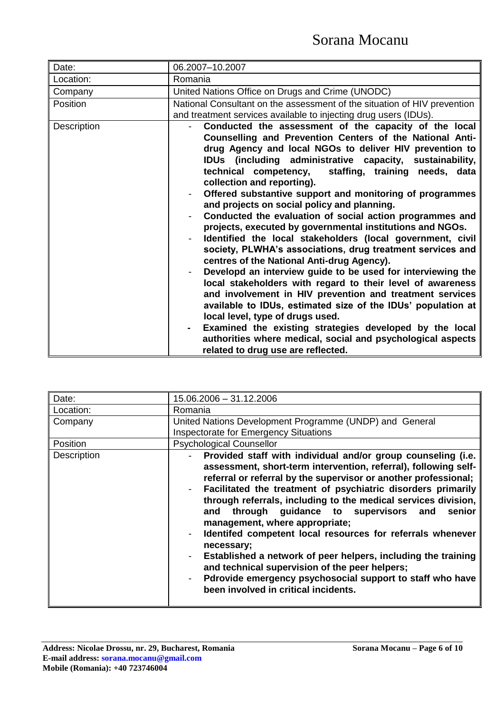| Date:       | 06.2007-10.2007                                                                                                                                                                                                                                                                                                                                                                                                                                                                                                                                                                                                                                                                                                                                                                                                                                                                                                                                                                                                                                                                                                                                                                                              |
|-------------|--------------------------------------------------------------------------------------------------------------------------------------------------------------------------------------------------------------------------------------------------------------------------------------------------------------------------------------------------------------------------------------------------------------------------------------------------------------------------------------------------------------------------------------------------------------------------------------------------------------------------------------------------------------------------------------------------------------------------------------------------------------------------------------------------------------------------------------------------------------------------------------------------------------------------------------------------------------------------------------------------------------------------------------------------------------------------------------------------------------------------------------------------------------------------------------------------------------|
| Location:   | Romania                                                                                                                                                                                                                                                                                                                                                                                                                                                                                                                                                                                                                                                                                                                                                                                                                                                                                                                                                                                                                                                                                                                                                                                                      |
| Company     | United Nations Office on Drugs and Crime (UNODC)                                                                                                                                                                                                                                                                                                                                                                                                                                                                                                                                                                                                                                                                                                                                                                                                                                                                                                                                                                                                                                                                                                                                                             |
| Position    | National Consultant on the assessment of the situation of HIV prevention<br>and treatment services available to injecting drug users (IDUs).                                                                                                                                                                                                                                                                                                                                                                                                                                                                                                                                                                                                                                                                                                                                                                                                                                                                                                                                                                                                                                                                 |
| Description | Conducted the assessment of the capacity of the local<br>Counselling and Prevention Centers of the National Anti-<br>drug Agency and local NGOs to deliver HIV prevention to<br>IDUs (including administrative capacity, sustainability,<br>staffing, training needs, data<br>technical competency,<br>collection and reporting).<br>Offered substantive support and monitoring of programmes<br>and projects on social policy and planning.<br>Conducted the evaluation of social action programmes and<br>projects, executed by governmental institutions and NGOs.<br>Identified the local stakeholders (local government, civil<br>society, PLWHA's associations, drug treatment services and<br>centres of the National Anti-drug Agency).<br>Developd an interview guide to be used for interviewing the<br>local stakeholders with regard to their level of awareness<br>and involvement in HIV prevention and treatment services<br>available to IDUs, estimated size of the IDUs' population at<br>local level, type of drugs used.<br>Examined the existing strategies developed by the local<br>authorities where medical, social and psychological aspects<br>related to drug use are reflected. |

| Date:              | 15.06.2006 - 31.12.2006                                                                                                                                                                                                                                                                                                                                                                                                                                                                                                                                                                                                                                                                                                              |
|--------------------|--------------------------------------------------------------------------------------------------------------------------------------------------------------------------------------------------------------------------------------------------------------------------------------------------------------------------------------------------------------------------------------------------------------------------------------------------------------------------------------------------------------------------------------------------------------------------------------------------------------------------------------------------------------------------------------------------------------------------------------|
| Location:          | Romania                                                                                                                                                                                                                                                                                                                                                                                                                                                                                                                                                                                                                                                                                                                              |
| Company            | United Nations Development Programme (UNDP) and General                                                                                                                                                                                                                                                                                                                                                                                                                                                                                                                                                                                                                                                                              |
|                    | <b>Inspectorate for Emergency Situations</b>                                                                                                                                                                                                                                                                                                                                                                                                                                                                                                                                                                                                                                                                                         |
| Position           | <b>Psychological Counsellor</b>                                                                                                                                                                                                                                                                                                                                                                                                                                                                                                                                                                                                                                                                                                      |
| <b>Description</b> | Provided staff with individual and/or group counseling (i.e.  <br>assessment, short-term intervention, referral), following self-<br>referral or referral by the supervisor or another professional;<br>Facilitated the treatment of psychiatric disorders primarily<br>through referrals, including to the medical services division,<br>through guidance to supervisors and<br>senior<br>and<br>management, where appropriate;<br>Identifed competent local resources for referrals whenever<br>necessary;<br>Established a network of peer helpers, including the training<br>and technical supervision of the peer helpers;<br>Pdrovide emergency psychosocial support to staff who have<br>been involved in critical incidents. |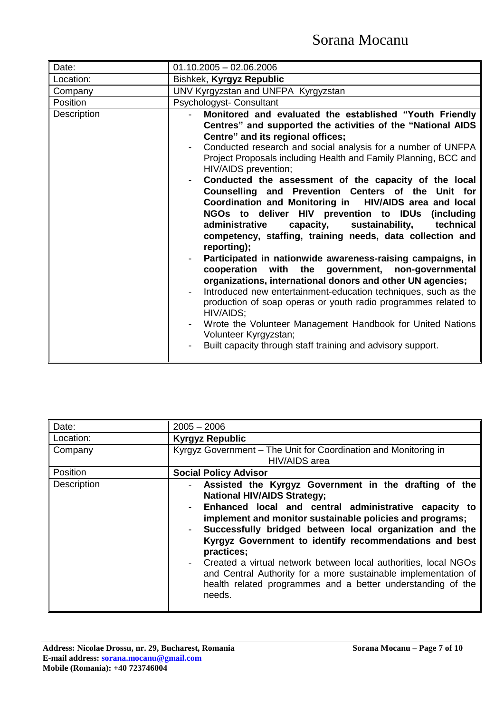| Date:       | $01.10.2005 - 02.06.2006$                                                                                                                                                                                                                                                                                                                                                                                                                                                                                                                                                                                                                                                                                                                                                                                                                                                                                                                                                                                                                                                                                                                                                            |
|-------------|--------------------------------------------------------------------------------------------------------------------------------------------------------------------------------------------------------------------------------------------------------------------------------------------------------------------------------------------------------------------------------------------------------------------------------------------------------------------------------------------------------------------------------------------------------------------------------------------------------------------------------------------------------------------------------------------------------------------------------------------------------------------------------------------------------------------------------------------------------------------------------------------------------------------------------------------------------------------------------------------------------------------------------------------------------------------------------------------------------------------------------------------------------------------------------------|
| Location:   | Bishkek, Kyrgyz Republic                                                                                                                                                                                                                                                                                                                                                                                                                                                                                                                                                                                                                                                                                                                                                                                                                                                                                                                                                                                                                                                                                                                                                             |
| Company     | UNV Kyrgyzstan and UNFPA Kyrgyzstan                                                                                                                                                                                                                                                                                                                                                                                                                                                                                                                                                                                                                                                                                                                                                                                                                                                                                                                                                                                                                                                                                                                                                  |
| Position    | Psychologyst- Consultant                                                                                                                                                                                                                                                                                                                                                                                                                                                                                                                                                                                                                                                                                                                                                                                                                                                                                                                                                                                                                                                                                                                                                             |
| Description | Monitored and evaluated the established "Youth Friendly<br>Centres" and supported the activities of the "National AIDS<br>Centre" and its regional offices;<br>Conducted research and social analysis for a number of UNFPA<br>Project Proposals including Health and Family Planning, BCC and<br>HIV/AIDS prevention;<br>Conducted the assessment of the capacity of the local<br>Counselling and Prevention Centers of the Unit for<br>Coordination and Monitoring in HIV/AIDS area and local<br>NGOs to deliver HIV prevention to IDUs (including<br>capacity, sustainability,<br>technical<br>administrative<br>competency, staffing, training needs, data collection and<br>reporting);<br>Participated in nationwide awareness-raising campaigns, in<br>cooperation with the government, non-governmental<br>organizations, international donors and other UN agencies;<br>Introduced new entertainment-education techniques, such as the<br>production of soap operas or youth radio programmes related to<br>HIV/AIDS;<br>Wrote the Volunteer Management Handbook for United Nations<br>Volunteer Kyrgyzstan;<br>Built capacity through staff training and advisory support. |

| Date:       | $2005 - 2006$                                                                                                                                                                                                                                                                                                                                                                                                                                                                                                                                                     |
|-------------|-------------------------------------------------------------------------------------------------------------------------------------------------------------------------------------------------------------------------------------------------------------------------------------------------------------------------------------------------------------------------------------------------------------------------------------------------------------------------------------------------------------------------------------------------------------------|
| Location:   | <b>Kyrgyz Republic</b>                                                                                                                                                                                                                                                                                                                                                                                                                                                                                                                                            |
| Company     | Kyrgyz Government – The Unit for Coordination and Monitoring in<br>HIV/AIDS area                                                                                                                                                                                                                                                                                                                                                                                                                                                                                  |
| Position    | <b>Social Policy Advisor</b>                                                                                                                                                                                                                                                                                                                                                                                                                                                                                                                                      |
| Description | Assisted the Kyrgyz Government in the drafting of the<br><b>National HIV/AIDS Strategy;</b><br>Enhanced local and central administrative capacity to<br>implement and monitor sustainable policies and programs;<br>Successfully bridged between local organization and the<br>Kyrgyz Government to identify recommendations and best<br>practices;<br>Created a virtual network between local authorities, local NGOs<br>and Central Authority for a more sustainable implementation of<br>health related programmes and a better understanding of the<br>needs. |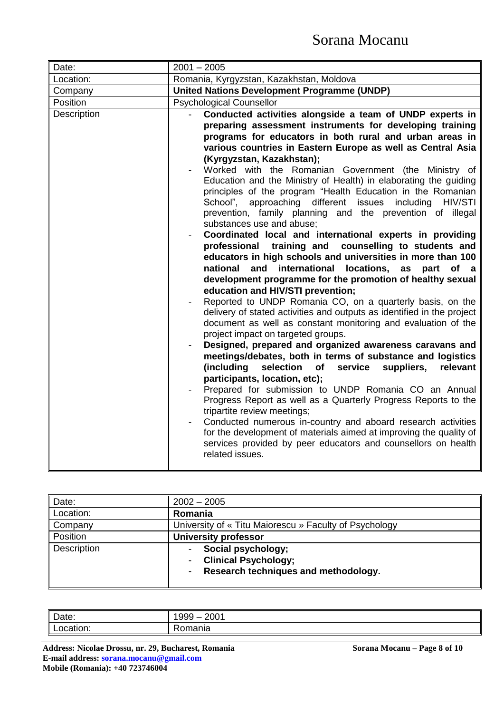| Date:       | $2001 - 2005$                                                                                                                                                                                                                                                                                                                                                                                                                                                                                                                                                                                                                                                                                                                                                                                                                                                                                                                                                                                                                                                                                                                                                                                                                                                                                                                                                                                                                                                                                                                                                                                                                                                                                                                                                                                                                                                          |
|-------------|------------------------------------------------------------------------------------------------------------------------------------------------------------------------------------------------------------------------------------------------------------------------------------------------------------------------------------------------------------------------------------------------------------------------------------------------------------------------------------------------------------------------------------------------------------------------------------------------------------------------------------------------------------------------------------------------------------------------------------------------------------------------------------------------------------------------------------------------------------------------------------------------------------------------------------------------------------------------------------------------------------------------------------------------------------------------------------------------------------------------------------------------------------------------------------------------------------------------------------------------------------------------------------------------------------------------------------------------------------------------------------------------------------------------------------------------------------------------------------------------------------------------------------------------------------------------------------------------------------------------------------------------------------------------------------------------------------------------------------------------------------------------------------------------------------------------------------------------------------------------|
| Location:   | Romania, Kyrgyzstan, Kazakhstan, Moldova                                                                                                                                                                                                                                                                                                                                                                                                                                                                                                                                                                                                                                                                                                                                                                                                                                                                                                                                                                                                                                                                                                                                                                                                                                                                                                                                                                                                                                                                                                                                                                                                                                                                                                                                                                                                                               |
| Company     | <b>United Nations Development Programme (UNDP)</b>                                                                                                                                                                                                                                                                                                                                                                                                                                                                                                                                                                                                                                                                                                                                                                                                                                                                                                                                                                                                                                                                                                                                                                                                                                                                                                                                                                                                                                                                                                                                                                                                                                                                                                                                                                                                                     |
| Position    | <b>Psychological Counsellor</b>                                                                                                                                                                                                                                                                                                                                                                                                                                                                                                                                                                                                                                                                                                                                                                                                                                                                                                                                                                                                                                                                                                                                                                                                                                                                                                                                                                                                                                                                                                                                                                                                                                                                                                                                                                                                                                        |
| Description | Conducted activities alongside a team of UNDP experts in<br>preparing assessment instruments for developing training<br>programs for educators in both rural and urban areas in<br>various countries in Eastern Europe as well as Central Asia<br>(Kyrgyzstan, Kazakhstan);<br>Worked with the Romanian Government (the Ministry of<br>Education and the Ministry of Health) in elaborating the guiding<br>principles of the program "Health Education in the Romanian<br>School",<br>approaching different issues<br>including<br>HIV/STI<br>prevention, family planning and the prevention of illegal<br>substances use and abuse;<br>Coordinated local and international experts in providing<br>professional training and<br>counselling to students and<br>educators in high schools and universities in more than 100<br>international<br>locations,<br>national<br>and<br>as<br>part<br>of a<br>development programme for the promotion of healthy sexual<br>education and HIV/STI prevention;<br>Reported to UNDP Romania CO, on a quarterly basis, on the<br>delivery of stated activities and outputs as identified in the project<br>document as well as constant monitoring and evaluation of the<br>project impact on targeted groups.<br>Designed, prepared and organized awareness caravans and<br>meetings/debates, both in terms of substance and logistics<br>(including<br>selection<br>service<br>of<br>suppliers,<br>relevant<br>participants, location, etc);<br>Prepared for submission to UNDP Romania CO an Annual<br>Progress Report as well as a Quarterly Progress Reports to the<br>tripartite review meetings;<br>Conducted numerous in-country and aboard research activities<br>for the development of materials aimed at improving the quality of<br>services provided by peer educators and counsellors on health<br>related issues. |

| Date:       | $2002 - 2005$                                                                                                                                |
|-------------|----------------------------------------------------------------------------------------------------------------------------------------------|
| Location:   | Romania                                                                                                                                      |
| ∥ Company   | University of « Titu Maiorescu » Faculty of Psychology                                                                                       |
| Position    | <b>University professor</b>                                                                                                                  |
| Description | Social psychology;<br>۰<br><b>Clinical Psychology;</b><br>$\blacksquare$<br>Research techniques and methodology.<br>$\overline{\phantom{a}}$ |
|             |                                                                                                                                              |

| Date:     | 200'<br>റററ<br>ນນ<br>_ |
|-----------|------------------------|
| - -       | מו                     |
| Location. | komania                |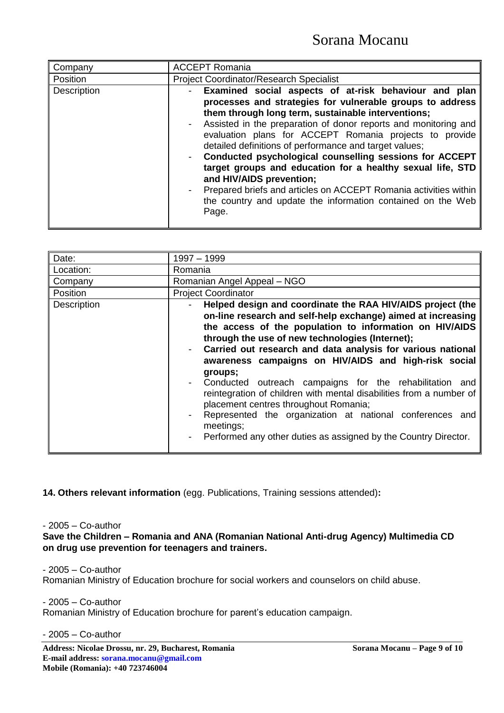| Company     | <b>ACCEPT Romania</b>                                                                                                                                                                                                                                                                                                                                                                                                                                                                                                                                                                                                                                                                         |
|-------------|-----------------------------------------------------------------------------------------------------------------------------------------------------------------------------------------------------------------------------------------------------------------------------------------------------------------------------------------------------------------------------------------------------------------------------------------------------------------------------------------------------------------------------------------------------------------------------------------------------------------------------------------------------------------------------------------------|
| Position    | <b>Project Coordinator/Research Specialist</b>                                                                                                                                                                                                                                                                                                                                                                                                                                                                                                                                                                                                                                                |
| Description | Examined social aspects of at-risk behaviour and plan<br>$\overline{\phantom{0}}$<br>processes and strategies for vulnerable groups to address<br>them through long term, sustainable interventions;<br>Assisted in the preparation of donor reports and monitoring and<br>evaluation plans for ACCEPT Romania projects to provide<br>detailed definitions of performance and target values;<br>Conducted psychological counselling sessions for ACCEPT<br>target groups and education for a healthy sexual life, STD<br>and HIV/AIDS prevention;<br>Prepared briefs and articles on ACCEPT Romania activities within<br>the country and update the information contained on the Web<br>Page. |

| Date:       | 1997 - 1999                                                                                                                                                                                                                                                                                                                                                                                                                                                                                                                                                                                                                                                                                       |
|-------------|---------------------------------------------------------------------------------------------------------------------------------------------------------------------------------------------------------------------------------------------------------------------------------------------------------------------------------------------------------------------------------------------------------------------------------------------------------------------------------------------------------------------------------------------------------------------------------------------------------------------------------------------------------------------------------------------------|
|             |                                                                                                                                                                                                                                                                                                                                                                                                                                                                                                                                                                                                                                                                                                   |
| Location:   | Romania                                                                                                                                                                                                                                                                                                                                                                                                                                                                                                                                                                                                                                                                                           |
| Company     | Romanian Angel Appeal - NGO                                                                                                                                                                                                                                                                                                                                                                                                                                                                                                                                                                                                                                                                       |
| Position    | <b>Project Coordinator</b>                                                                                                                                                                                                                                                                                                                                                                                                                                                                                                                                                                                                                                                                        |
| Description | Helped design and coordinate the RAA HIV/AIDS project (the<br>on-line research and self-help exchange) aimed at increasing<br>the access of the population to information on HIV/AIDS<br>through the use of new technologies (Internet);<br>Carried out research and data analysis for various national<br>awareness campaigns on HIV/AIDS and high-risk social<br>groups;<br>Conducted outreach campaigns for the rehabilitation and<br>reintegration of children with mental disabilities from a number of<br>placement centres throughout Romania;<br>Represented the organization at national conferences and<br>meetings;<br>Performed any other duties as assigned by the Country Director. |

**14. Others relevant information** (egg. Publications, Training sessions attended)**:** 

#### - 2005 – Co-author

**Save the Children – Romania and ANA (Romanian National Anti-drug Agency) Multimedia CD on drug use prevention for teenagers and trainers.**

- 2005 – Co-author

Romanian Ministry of Education brochure for social workers and counselors on child abuse.

- 2005 – Co-author

Romanian Ministry of Education brochure for parent's education campaign.

- 2005 – Co-author